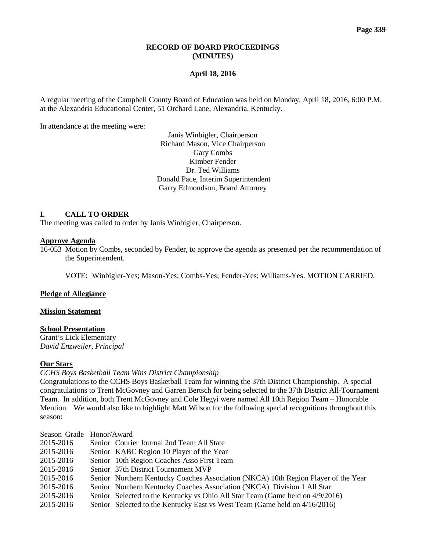## **RECORD OF BOARD PROCEEDINGS (MINUTES)**

## **April 18, 2016**

A regular meeting of the Campbell County Board of Education was held on Monday, April 18, 2016, 6:00 P.M. at the Alexandria Educational Center, 51 Orchard Lane, Alexandria, Kentucky.

In attendance at the meeting were:

Janis Winbigler, Chairperson Richard Mason, Vice Chairperson Gary Combs Kimber Fender Dr. Ted Williams Donald Pace, Interim Superintendent Garry Edmondson, Board Attorney

# **I. CALL TO ORDER**

The meeting was called to order by Janis Winbigler, Chairperson.

## **Approve Agenda**

16-053 Motion by Combs, seconded by Fender, to approve the agenda as presented per the recommendation of the Superintendent.

VOTE: Winbigler-Yes; Mason-Yes; Combs-Yes; Fender-Yes; Williams-Yes. MOTION CARRIED.

#### **Pledge of Allegiance**

#### **Mission Statement**

# **School Presentation**

Grant's Lick Elementary *David Enzweiler, Principal*

## **Our Stars**

#### *CCHS Boys Basketball Team Wins District Championship*

Congratulations to the CCHS Boys Basketball Team for winning the 37th District Championship. A special congratulations to Trent McGovney and Garren Bertsch for being selected to the 37th District All-Tournament Team. In addition, both Trent McGovney and Cole Hegyi were named All 10th Region Team – Honorable Mention. We would also like to highlight Matt Wilson for the following special recognitions throughout this season:

| Season Grade Honor/Award |                                                                                    |
|--------------------------|------------------------------------------------------------------------------------|
| 2015-2016                | Senior Courier Journal 2nd Team All State                                          |
| 2015-2016                | Senior KABC Region 10 Player of the Year                                           |
| 2015-2016                | Senior 10th Region Coaches Asso First Team                                         |
| 2015-2016                | Senior 37th District Tournament MVP                                                |
| 2015-2016                | Senior Northern Kentucky Coaches Association (NKCA) 10th Region Player of the Year |
| 2015-2016                | Senior Northern Kentucky Coaches Association (NKCA) Division 1 All Star            |
| 2015-2016                | Senior Selected to the Kentucky vs Ohio All Star Team (Game held on 4/9/2016)      |
| 2015-2016                | Senior Selected to the Kentucky East vs West Team (Game held on 4/16/2016)         |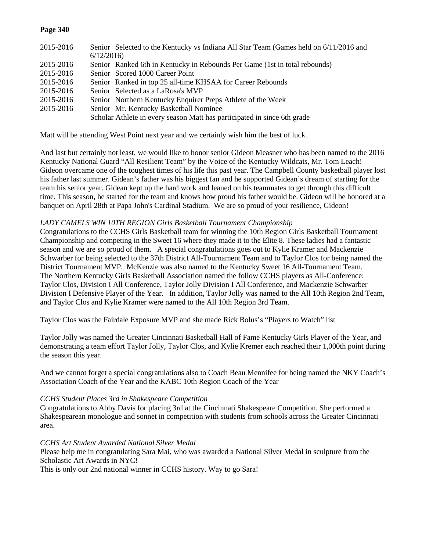## **Page 340**

| 2015-2016 | Senior Selected to the Kentucky vs Indiana All Star Team (Games held on 6/11/2016 and |
|-----------|---------------------------------------------------------------------------------------|
|           | 6/12/2016                                                                             |
| 2015-2016 | Senior Ranked 6th in Kentucky in Rebounds Per Game (1st in total rebounds)            |
| 2015-2016 | Senior Scored 1000 Career Point                                                       |
| 2015-2016 | Senior Ranked in top 25 all-time KHSAA for Career Rebounds                            |
| 2015-2016 | Senior Selected as a LaRosa's MVP                                                     |
| 2015-2016 | Senior Northern Kentucky Enquirer Preps Athlete of the Week                           |
| 2015-2016 | Senior Mr. Kentucky Basketball Nominee                                                |
|           | Scholar Athlete in every season Matt has participated in since 6th grade              |

Matt will be attending West Point next year and we certainly wish him the best of luck.

And last but certainly not least, we would like to honor senior Gideon Measner who has been named to the 2016 Kentucky National Guard "All Resilient Team" by the Voice of the Kentucky Wildcats, Mr. Tom Leach! Gideon overcame one of the toughest times of his life this past year. The Campbell County basketball player lost his father last summer. Gidean's father was his biggest fan and he supported Gidean's dream of starting for the team his senior year. Gidean kept up the hard work and leaned on his teammates to get through this difficult time. This season, he started for the team and knows how proud his father would be. Gideon will be honored at a banquet on April 28th at Papa John's Cardinal Stadium. We are so proud of your resilience, Gideon!

### *LADY CAMELS WIN 10TH REGION Girls Basketball Tournament Championship*

Congratulations to the CCHS Girls Basketball team for winning the 10th Region Girls Basketball Tournament Championship and competing in the Sweet 16 where they made it to the Elite 8. These ladies had a fantastic season and we are so proud of them. A special congratulations goes out to Kylie Kramer and Mackenzie Schwarber for being selected to the 37th District All-Tournament Team and to Taylor Clos for being named the District Tournament MVP. McKenzie was also named to the Kentucky Sweet 16 All-Tournament Team. The Northern Kentucky Girls Basketball Association named the follow CCHS players as All-Conference: Taylor Clos, Division I All Conference, Taylor Jolly Division I All Conference, and Mackenzie Schwarber Division I Defensive Player of the Year. In addition, Taylor Jolly was named to the All 10th Region 2nd Team, and Taylor Clos and Kylie Kramer were named to the All 10th Region 3rd Team.

Taylor Clos was the Fairdale Exposure MVP and she made Rick Bolus's "Players to Watch" list

Taylor Jolly was named the Greater Cincinnati Basketball Hall of Fame Kentucky Girls Player of the Year, and demonstrating a team effort Taylor Jolly, Taylor Clos, and Kylie Kremer each reached their 1,000th point during the season this year.

And we cannot forget a special congratulations also to Coach Beau Mennifee for being named the NKY Coach's Association Coach of the Year and the KABC 10th Region Coach of the Year

#### *CCHS Student Places 3rd in Shakespeare Competition*

Congratulations to Abby Davis for placing 3rd at the Cincinnati Shakespeare Competition. She performed a Shakespearean monologue and sonnet in competition with students from schools across the Greater Cincinnati area.

*CCHS Art Student Awarded National Silver Medal* 

Please help me in congratulating Sara Mai, who was awarded a National Silver Medal in sculpture from the Scholastic Art Awards in NYC!

This is only our 2nd national winner in CCHS history. Way to go Sara!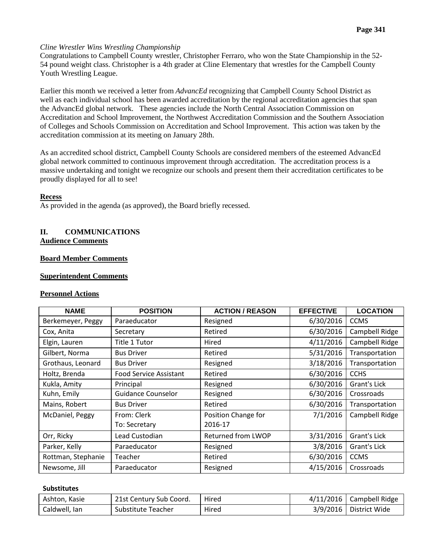## *Cline Wrestler Wins Wrestling Championship*

Congratulations to Campbell County wrestler, Christopher Ferraro, who won the State Championship in the 52- 54 pound weight class. Christopher is a 4th grader at Cline Elementary that wrestles for the Campbell County Youth Wrestling League.

Earlier this month we received a letter from *AdvancEd* recognizing that Campbell County School District as well as each individual school has been awarded accreditation by the regional accreditation agencies that span the AdvancEd global network. These agencies include the North Central Association Commission on Accreditation and School Improvement, the Northwest Accreditation Commission and the Southern Association of Colleges and Schools Commission on Accreditation and School Improvement. This action was taken by the accreditation commission at its meeting on January 28th.

As an accredited school district, Campbell County Schools are considered members of the esteemed AdvancEd global network committed to continuous improvement through accreditation. The accreditation process is a massive undertaking and tonight we recognize our schools and present them their accreditation certificates to be proudly displayed for all to see!

### **Recess**

As provided in the agenda (as approved), the Board briefly recessed.

## **II. COMMUNICATIONS Audience Comments**

## **Board Member Comments**

## **Superintendent Comments**

#### **Personnel Actions**

| <b>NAME</b>        | <b>POSITION</b>               | <b>ACTION / REASON</b> | <b>EFFECTIVE</b> | <b>LOCATION</b> |
|--------------------|-------------------------------|------------------------|------------------|-----------------|
| Berkemeyer, Peggy  | Paraeducator                  | Resigned               | 6/30/2016        | <b>CCMS</b>     |
| Cox, Anita         | Secretary                     | Retired                | 6/30/2016        | Campbell Ridge  |
| Elgin, Lauren      | Title 1 Tutor                 | Hired                  | 4/11/2016        | Campbell Ridge  |
| Gilbert, Norma     | <b>Bus Driver</b>             | Retired                | 5/31/2016        | Transportation  |
| Grothaus, Leonard  | <b>Bus Driver</b>             | Resigned               | 3/18/2016        | Transportation  |
| Holtz, Brenda      | <b>Food Service Assistant</b> | Retired                | 6/30/2016        | <b>CCHS</b>     |
| Kukla, Amity       | Principal                     | Resigned               | 6/30/2016        | Grant's Lick    |
| Kuhn, Emily        | <b>Guidance Counselor</b>     | Resigned               | 6/30/2016        | Crossroads      |
| Mains, Robert      | <b>Bus Driver</b>             | Retired                | 6/30/2016        | Transportation  |
| McDaniel, Peggy    | From: Clerk                   | Position Change for    | 7/1/2016         | Campbell Ridge  |
|                    | To: Secretary                 | 2016-17                |                  |                 |
| Orr, Ricky         | Lead Custodian                | Returned from LWOP     | 3/31/2016        | Grant's Lick    |
| Parker, Kelly      | Paraeducator                  | Resigned               | 3/8/2016         | Grant's Lick    |
| Rottman, Stephanie | Teacher                       | Retired                | 6/30/2016        | <b>CCMS</b>     |
| Newsome, Jill      | Paraeducator                  | Resigned               | 4/15/2016        | Crossroads      |

#### **Substitutes**

| Ashton, Kasie | 21st Century Sub Coord. | Hired | $4/11/2016$ Campbell Ridge |
|---------------|-------------------------|-------|----------------------------|
| Caldwell, Ian | Substitute Teacher      | Hired | $3/9/2016$ District Wide   |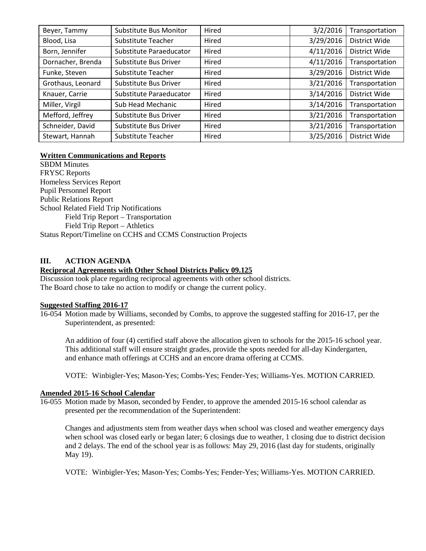| Beyer, Tammy      | Substitute Bus Monitor  | Hired | 3/2/2016  | Transportation |
|-------------------|-------------------------|-------|-----------|----------------|
| Blood, Lisa       | Substitute Teacher      | Hired | 3/29/2016 | District Wide  |
| Born, Jennifer    | Substitute Paraeducator | Hired | 4/11/2016 | District Wide  |
| Dornacher, Brenda | Substitute Bus Driver   | Hired | 4/11/2016 | Transportation |
| Funke, Steven     | Substitute Teacher      | Hired | 3/29/2016 | District Wide  |
| Grothaus, Leonard | Substitute Bus Driver   | Hired | 3/21/2016 | Transportation |
| Knauer, Carrie    | Substitute Paraeducator | Hired | 3/14/2016 | District Wide  |
| Miller, Virgil    | Sub Head Mechanic       | Hired | 3/14/2016 | Transportation |
| Mefford, Jeffrey  | Substitute Bus Driver   | Hired | 3/21/2016 | Transportation |
| Schneider, David  | Substitute Bus Driver   | Hired | 3/21/2016 | Transportation |
| Stewart, Hannah   | Substitute Teacher      | Hired | 3/25/2016 | District Wide  |

# **Written Communications and Reports**

SBDM Minutes FRYSC Reports Homeless Services Report Pupil Personnel Report Public Relations Report School Related Field Trip Notifications Field Trip Report – Transportation Field Trip Report – Athletics Status Report/Timeline on CCHS and CCMS Construction Projects

# **III. ACTION AGENDA**

## **Reciprocal Agreements with Other School Districts Policy 09.125**

Discussion took place regarding reciprocal agreements with other school districts. The Board chose to take no action to modify or change the current policy.

#### **Suggested Staffing 2016-17**

16-054 Motion made by Williams, seconded by Combs, to approve the suggested staffing for 2016-17, per the Superintendent, as presented:

An addition of four (4) certified staff above the allocation given to schools for the 2015-16 school year. This additional staff will ensure straight grades, provide the spots needed for all-day Kindergarten, and enhance math offerings at CCHS and an encore drama offering at CCMS.

VOTE: Winbigler-Yes; Mason-Yes; Combs-Yes; Fender-Yes; Williams-Yes. MOTION CARRIED.

# **Amended 2015-16 School Calendar**

16-055 Motion made by Mason, seconded by Fender, to approve the amended 2015-16 school calendar as presented per the recommendation of the Superintendent:

Changes and adjustments stem from weather days when school was closed and weather emergency days when school was closed early or began later; 6 closings due to weather, 1 closing due to district decision and 2 delays. The end of the school year is as follows: May 29, 2016 (last day for students, originally May 19).

VOTE: Winbigler-Yes; Mason-Yes; Combs-Yes; Fender-Yes; Williams-Yes. MOTION CARRIED.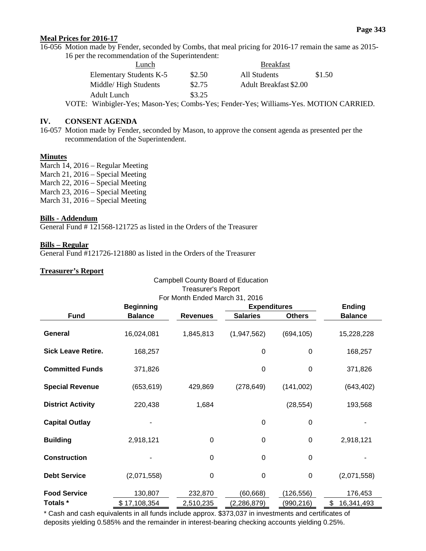# **Meal Prices for 2016-17**

16-056 Motion made by Fender, seconded by Combs, that meal pricing for 2016-17 remain the same as 2015- 16 per the recommendation of the Superintendent:

| Lunch                   |        | <b>Breakfast</b>              |        |  |
|-------------------------|--------|-------------------------------|--------|--|
| Elementary Students K-5 | \$2.50 | All Students                  | \$1.50 |  |
| Middle/High Students    | \$2.75 | <b>Adult Breakfast \$2.00</b> |        |  |
| Adult Lunch             | \$3.25 |                               |        |  |

VOTE: Winbigler-Yes; Mason-Yes; Combs-Yes; Fender-Yes; Williams-Yes. MOTION CARRIED.

## **IV. CONSENT AGENDA**

16-057 Motion made by Fender, seconded by Mason, to approve the consent agenda as presented per the recommendation of the Superintendent.

## **Minutes**

March 14, 2016 – Regular Meeting March 21, 2016 – Special Meeting March 22, 2016 – Special Meeting March 23, 2016 – Special Meeting March 31, 2016 – Special Meeting

## **Bills - Addendum**

General Fund # 121568-121725 as listed in the Orders of the Treasurer

### **Bills – Regular**

General Fund #121726-121880 as listed in the Orders of the Treasurer

### **Treasurer's Report**

| Campbell County Board of Education                          |                  |                 |                 |                     |                  |  |
|-------------------------------------------------------------|------------------|-----------------|-----------------|---------------------|------------------|--|
| <b>Treasurer's Report</b><br>For Month Ended March 31, 2016 |                  |                 |                 |                     |                  |  |
|                                                             | <b>Beginning</b> |                 |                 | <b>Expenditures</b> |                  |  |
| <b>Fund</b>                                                 | <b>Balance</b>   | <b>Revenues</b> | <b>Salaries</b> | <b>Others</b>       | <b>Balance</b>   |  |
| General                                                     | 16,024,081       | 1,845,813       | (1,947,562)     | (694, 105)          | 15,228,228       |  |
| <b>Sick Leave Retire.</b>                                   | 168,257          |                 | 0               | 0                   | 168,257          |  |
| <b>Committed Funds</b>                                      | 371,826          |                 | 0               | 0                   | 371,826          |  |
| <b>Special Revenue</b>                                      | (653, 619)       | 429,869         | (278, 649)      | (141,002)           | (643, 402)       |  |
| <b>District Activity</b>                                    | 220,438          | 1,684           |                 | (28, 554)           | 193,568          |  |
| <b>Capital Outlay</b>                                       |                  |                 | $\mathbf 0$     | 0                   |                  |  |
| <b>Building</b>                                             | 2,918,121        | $\overline{0}$  | $\mathbf 0$     | $\Omega$            | 2,918,121        |  |
| <b>Construction</b>                                         |                  | $\mathbf 0$     | 0               | 0                   |                  |  |
| <b>Debt Service</b>                                         | (2,071,558)      | $\mathbf 0$     | 0               | $\boldsymbol{0}$    | (2,071,558)      |  |
| <b>Food Service</b>                                         | 130,807          | 232,870         | (60, 668)       | (126, 556)          | 176,453          |  |
| Totals *                                                    | \$17,108,354     | 2,510,235       | (2, 286, 879)   | (990,216)           | \$<br>16,341,493 |  |

\* Cash and cash equivalents in all funds include approx. \$373,037 in investments and certificates of deposits yielding 0.585% and the remainder in interest-bearing checking accounts yielding 0.25%.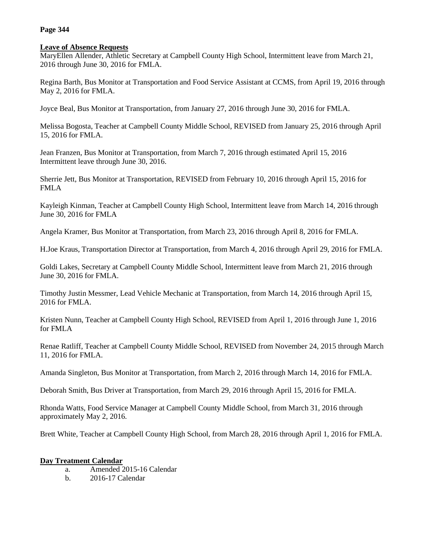## **Page 344**

# **Leave of Absence Requests**

MaryEllen Allender, Athletic Secretary at Campbell County High School, Intermittent leave from March 21, 2016 through June 30, 2016 for FMLA.

Regina Barth, Bus Monitor at Transportation and Food Service Assistant at CCMS, from April 19, 2016 through May 2, 2016 for FMLA.

Joyce Beal, Bus Monitor at Transportation, from January 27, 2016 through June 30, 2016 for FMLA.

Melissa Bogosta, Teacher at Campbell County Middle School, REVISED from January 25, 2016 through April 15, 2016 for FMLA.

Jean Franzen, Bus Monitor at Transportation, from March 7, 2016 through estimated April 15, 2016 Intermittent leave through June 30, 2016.

Sherrie Jett, Bus Monitor at Transportation, REVISED from February 10, 2016 through April 15, 2016 for FMLA

Kayleigh Kinman, Teacher at Campbell County High School, Intermittent leave from March 14, 2016 through June 30, 2016 for FMLA

Angela Kramer, Bus Monitor at Transportation, from March 23, 2016 through April 8, 2016 for FMLA.

H.Joe Kraus, Transportation Director at Transportation, from March 4, 2016 through April 29, 2016 for FMLA.

Goldi Lakes, Secretary at Campbell County Middle School, Intermittent leave from March 21, 2016 through June 30, 2016 for FMLA.

Timothy Justin Messmer, Lead Vehicle Mechanic at Transportation, from March 14, 2016 through April 15, 2016 for FMLA.

Kristen Nunn, Teacher at Campbell County High School, REVISED from April 1, 2016 through June 1, 2016 for FMLA

Renae Ratliff, Teacher at Campbell County Middle School, REVISED from November 24, 2015 through March 11, 2016 for FMLA.

Amanda Singleton, Bus Monitor at Transportation, from March 2, 2016 through March 14, 2016 for FMLA.

Deborah Smith, Bus Driver at Transportation, from March 29, 2016 through April 15, 2016 for FMLA.

Rhonda Watts, Food Service Manager at Campbell County Middle School, from March 31, 2016 through approximately May 2, 2016.

Brett White, Teacher at Campbell County High School, from March 28, 2016 through April 1, 2016 for FMLA.

# **Day Treatment Calendar**

- a. Amended 2015-16 Calendar
- b. 2016-17 Calendar